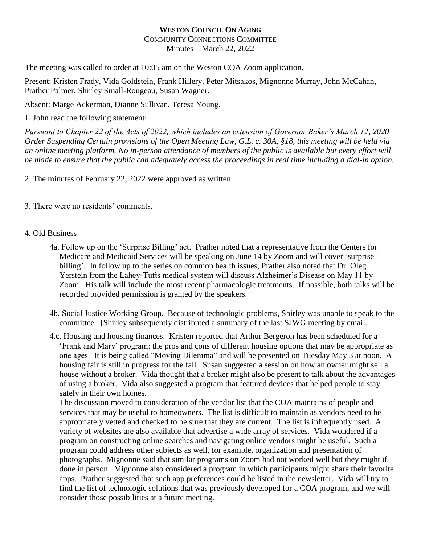## **WESTON COUNCIL ON AGING** COMMUNITY CONNECTIONS COMMITTEE Minutes – March 22, 2022

The meeting was called to order at 10:05 am on the Weston COA Zoom application.

Present: Kristen Frady, Vida Goldstein, Frank Hillery, Peter Mitsakos, Mignonne Murray, John McCahan, Prather Palmer, Shirley Small-Rougeau, Susan Wagner.

Absent: Marge Ackerman, Dianne Sullivan, Teresa Young.

1. John read the following statement:

*Pursuant to Chapter 22 of the Acts of 2022, which includes an extension of Governor Baker's March 12, 2020 Order Suspending Certain provisions of the Open Meeting Law, G.L. c. 30A, §18, this meeting will be held via an online meeting platform. No in-person attendance of members of the public is available but every effort will be made to ensure that the public can adequately access the proceedings in real time including a dial-in option.*

2. The minutes of February 22, 2022 were approved as written.

3. There were no residents' comments.

## 4. Old Business

- 4a. Follow up on the 'Surprise Billing' act. Prather noted that a representative from the Centers for Medicare and Medicaid Services will be speaking on June 14 by Zoom and will cover 'surprise billing'. In follow up to the series on common health issues, Prather also noted that Dr. Oleg Yerstein from the Lahey-Tufts medical system will discuss Alzheimer's Disease on May 11 by Zoom. His talk will include the most recent pharmacologic treatments. If possible, both talks will be recorded provided permission is granted by the speakers.
- 4b. Social Justice Working Group. Because of technologic problems, Shirley was unable to speak to the committee. [Shirley subsequently distributed a summary of the last SJWG meeting by email.]
- 4.c. Housing and housing finances. Kristen reported that Arthur Bergeron has been scheduled for a 'Frank and Mary' program: the pros and cons of different housing options that may be appropriate as one ages. It is being called "Moving Dilemma" and will be presented on Tuesday May 3 at noon. A housing fair is still in progress for the fall. Susan suggested a session on how an owner might sell a house without a broker. Vida thought that a broker might also be present to talk about the advantages of using a broker. Vida also suggested a program that featured devices that helped people to stay safely in their own homes.

The discussion moved to consideration of the vendor list that the COA maintains of people and services that may be useful to homeowners. The list is difficult to maintain as vendors need to be appropriately vetted and checked to be sure that they are current. The list is infrequently used. A variety of websites are also available that advertise a wide array of services. Vida wondered if a program on constructing online searches and navigating online vendors might be useful. Such a program could address other subjects as well, for example, organization and presentation of photographs. Mignonne said that similar programs on Zoom had not worked well but they might if done in person. Mignonne also considered a program in which participants might share their favorite apps. Prather suggested that such app preferences could be listed in the newsletter. Vida will try to find the list of technologic solutions that was previously developed for a COA program, and we will consider those possibilities at a future meeting.